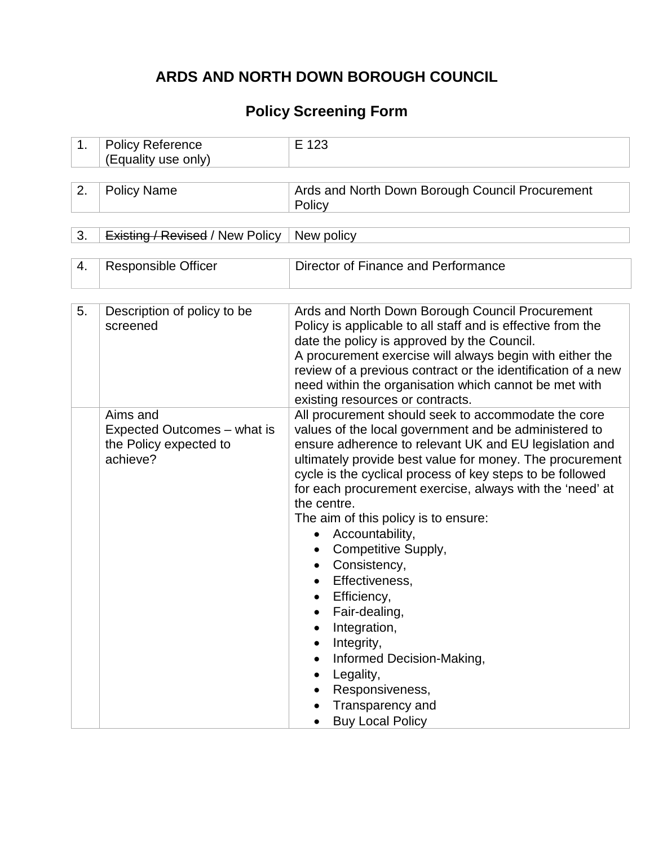## **ARDS AND NORTH DOWN BOROUGH COUNCIL**

## **Policy Screening Form**

| 1. | <b>Policy Reference</b><br>(Equality use only)                                | E 123                                                                                                                                                                                                                                                                                                                                                                                                                                                                                                                                                                                                                                                                    |
|----|-------------------------------------------------------------------------------|--------------------------------------------------------------------------------------------------------------------------------------------------------------------------------------------------------------------------------------------------------------------------------------------------------------------------------------------------------------------------------------------------------------------------------------------------------------------------------------------------------------------------------------------------------------------------------------------------------------------------------------------------------------------------|
| 2. | <b>Policy Name</b>                                                            | Ards and North Down Borough Council Procurement<br>Policy                                                                                                                                                                                                                                                                                                                                                                                                                                                                                                                                                                                                                |
| 3. | <b>Existing / Revised / New Policy</b>                                        | New policy                                                                                                                                                                                                                                                                                                                                                                                                                                                                                                                                                                                                                                                               |
| 4. | <b>Responsible Officer</b>                                                    | Director of Finance and Performance                                                                                                                                                                                                                                                                                                                                                                                                                                                                                                                                                                                                                                      |
| 5. | Description of policy to be<br>screened                                       | Ards and North Down Borough Council Procurement<br>Policy is applicable to all staff and is effective from the<br>date the policy is approved by the Council.<br>A procurement exercise will always begin with either the<br>review of a previous contract or the identification of a new<br>need within the organisation which cannot be met with<br>existing resources or contracts.                                                                                                                                                                                                                                                                                   |
|    | Aims and<br>Expected Outcomes – what is<br>the Policy expected to<br>achieve? | All procurement should seek to accommodate the core<br>values of the local government and be administered to<br>ensure adherence to relevant UK and EU legislation and<br>ultimately provide best value for money. The procurement<br>cycle is the cyclical process of key steps to be followed<br>for each procurement exercise, always with the 'need' at<br>the centre.<br>The aim of this policy is to ensure:<br>Accountability,<br>Competitive Supply,<br>Consistency,<br>Effectiveness,<br>Efficiency,<br>Fair-dealing,<br>Integration,<br>Integrity,<br>Informed Decision-Making,<br>Legality,<br>Responsiveness,<br>Transparency and<br><b>Buy Local Policy</b> |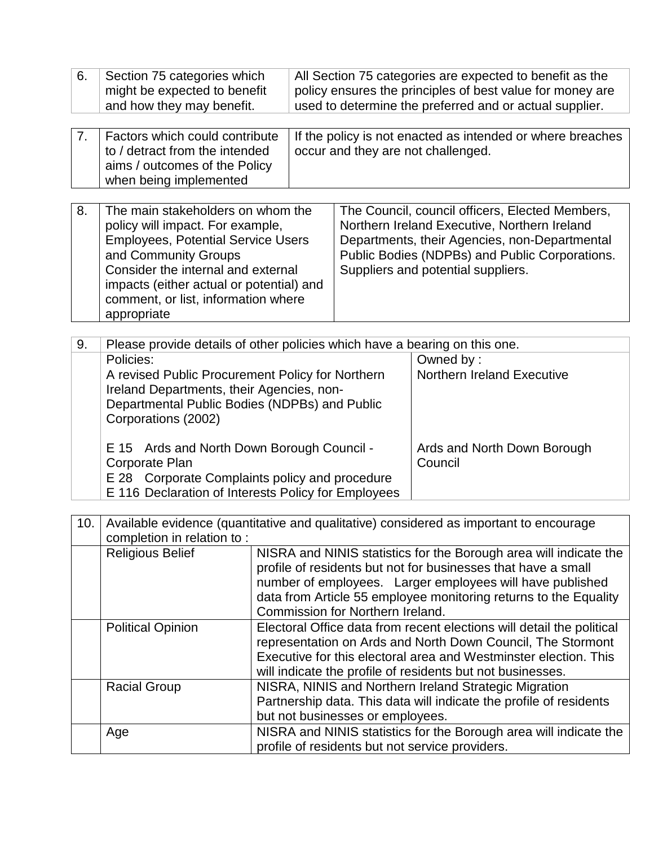| 6.  | Section 75 categories which<br>might be expected to benefit<br>and how they may benefit.                                                                                                                                                                                                             |                                                                                                                                                                                                                                                                                                         | All Section 75 categories are expected to benefit as the<br>policy ensures the principles of best value for money are<br>used to determine the preferred and or actual supplier. |  |                                                                                   |
|-----|------------------------------------------------------------------------------------------------------------------------------------------------------------------------------------------------------------------------------------------------------------------------------------------------------|---------------------------------------------------------------------------------------------------------------------------------------------------------------------------------------------------------------------------------------------------------------------------------------------------------|----------------------------------------------------------------------------------------------------------------------------------------------------------------------------------|--|-----------------------------------------------------------------------------------|
| 7.  | Factors which could contribute<br>to / detract from the intended<br>aims / outcomes of the Policy<br>when being implemented                                                                                                                                                                          |                                                                                                                                                                                                                                                                                                         | If the policy is not enacted as intended or where breaches<br>occur and they are not challenged.                                                                                 |  |                                                                                   |
| 8.  | The main stakeholders on whom the<br>policy will impact. For example,<br><b>Employees, Potential Service Users</b><br>and Community Groups<br>Consider the internal and external<br>impacts (either actual or potential) and<br>comment, or list, information where<br>appropriate                   | The Council, council officers, Elected Members,<br>Northern Ireland Executive, Northern Ireland<br>Departments, their Agencies, non-Departmental<br>Public Bodies (NDPBs) and Public Corporations.<br>Suppliers and potential suppliers.                                                                |                                                                                                                                                                                  |  |                                                                                   |
|     |                                                                                                                                                                                                                                                                                                      |                                                                                                                                                                                                                                                                                                         |                                                                                                                                                                                  |  |                                                                                   |
| 9.  | Policies:<br>A revised Public Procurement Policy for Northern<br>Ireland Departments, their Agencies, non-<br>Departmental Public Bodies (NDPBs) and Public<br>Corporations (2002)<br>E 15 Ards and North Down Borough Council -<br>Corporate Plan<br>E 28 Corporate Complaints policy and procedure | Please provide details of other policies which have a bearing on this one.                                                                                                                                                                                                                              |                                                                                                                                                                                  |  | Owned by:<br>Northern Ireland Executive<br>Ards and North Down Borough<br>Council |
|     | E 116 Declaration of Interests Policy for Employees                                                                                                                                                                                                                                                  |                                                                                                                                                                                                                                                                                                         |                                                                                                                                                                                  |  |                                                                                   |
| 10. | Available evidence (quantitative and qualitative) considered as important to encourage<br>completion in relation to:                                                                                                                                                                                 |                                                                                                                                                                                                                                                                                                         |                                                                                                                                                                                  |  |                                                                                   |
|     | <b>Religious Belief</b>                                                                                                                                                                                                                                                                              | NISRA and NINIS statistics for the Borough area will indicate the<br>profile of residents but not for businesses that have a small<br>number of employees. Larger employees will have published<br>data from Article 55 employee monitoring returns to the Equality<br>Commission for Northern Ireland. |                                                                                                                                                                                  |  |                                                                                   |
|     | <b>Political Opinion</b>                                                                                                                                                                                                                                                                             | Electoral Office data from recent elections will detail the political<br>representation on Ards and North Down Council, The Stormont<br>Executive for this electoral area and Westminster election. This<br>will indicate the profile of residents but not businesses.                                  |                                                                                                                                                                                  |  |                                                                                   |
|     | <b>Racial Group</b>                                                                                                                                                                                                                                                                                  | NISRA, NINIS and Northern Ireland Strategic Migration<br>Partnership data. This data will indicate the profile of residents<br>but not businesses or employees.                                                                                                                                         |                                                                                                                                                                                  |  |                                                                                   |
|     | Age                                                                                                                                                                                                                                                                                                  | NISRA and NINIS statistics for the Borough area will indicate the<br>profile of residents but not service providers.                                                                                                                                                                                    |                                                                                                                                                                                  |  |                                                                                   |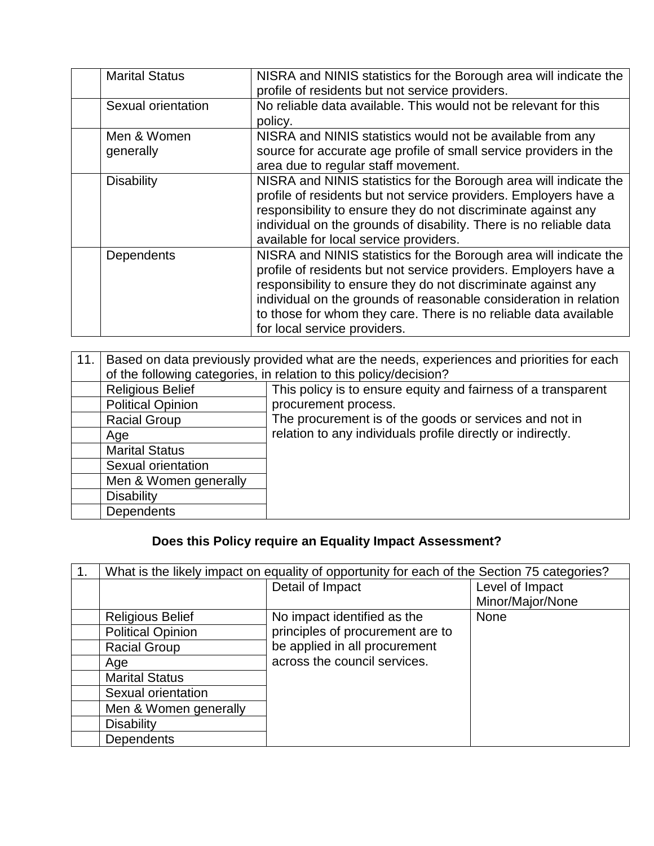| <b>Marital Status</b>    | NISRA and NINIS statistics for the Borough area will indicate the<br>profile of residents but not service providers.                                                                                                                                                                                                                                                            |
|--------------------------|---------------------------------------------------------------------------------------------------------------------------------------------------------------------------------------------------------------------------------------------------------------------------------------------------------------------------------------------------------------------------------|
| Sexual orientation       | No reliable data available. This would not be relevant for this<br>policy.                                                                                                                                                                                                                                                                                                      |
| Men & Women<br>generally | NISRA and NINIS statistics would not be available from any<br>source for accurate age profile of small service providers in the<br>area due to regular staff movement.                                                                                                                                                                                                          |
| <b>Disability</b>        | NISRA and NINIS statistics for the Borough area will indicate the<br>profile of residents but not service providers. Employers have a<br>responsibility to ensure they do not discriminate against any<br>individual on the grounds of disability. There is no reliable data<br>available for local service providers.                                                          |
| Dependents               | NISRA and NINIS statistics for the Borough area will indicate the<br>profile of residents but not service providers. Employers have a<br>responsibility to ensure they do not discriminate against any<br>individual on the grounds of reasonable consideration in relation<br>to those for whom they care. There is no reliable data available<br>for local service providers. |

| 11. | Based on data previously provided what are the needs, experiences and priorities for each<br>of the following categories, in relation to this policy/decision? |                                                               |  |  |
|-----|----------------------------------------------------------------------------------------------------------------------------------------------------------------|---------------------------------------------------------------|--|--|
|     | <b>Religious Belief</b>                                                                                                                                        | This policy is to ensure equity and fairness of a transparent |  |  |
|     | <b>Political Opinion</b>                                                                                                                                       | procurement process.                                          |  |  |
|     | <b>Racial Group</b>                                                                                                                                            | The procurement is of the goods or services and not in        |  |  |
|     | Age                                                                                                                                                            | relation to any individuals profile directly or indirectly.   |  |  |
|     | <b>Marital Status</b>                                                                                                                                          |                                                               |  |  |
|     | Sexual orientation                                                                                                                                             |                                                               |  |  |
|     | Men & Women generally                                                                                                                                          |                                                               |  |  |
|     | <b>Disability</b>                                                                                                                                              |                                                               |  |  |
|     | <b>Dependents</b>                                                                                                                                              |                                                               |  |  |

# **Does this Policy require an Equality Impact Assessment?**

| 1. | What is the likely impact on equality of opportunity for each of the Section 75 categories? |                                  |                  |  |
|----|---------------------------------------------------------------------------------------------|----------------------------------|------------------|--|
|    |                                                                                             | Detail of Impact                 | Level of Impact  |  |
|    |                                                                                             |                                  | Minor/Major/None |  |
|    | <b>Religious Belief</b>                                                                     | No impact identified as the      | <b>None</b>      |  |
|    | <b>Political Opinion</b>                                                                    | principles of procurement are to |                  |  |
|    | <b>Racial Group</b>                                                                         | be applied in all procurement    |                  |  |
|    | Age                                                                                         | across the council services.     |                  |  |
|    | <b>Marital Status</b>                                                                       |                                  |                  |  |
|    | Sexual orientation                                                                          |                                  |                  |  |
|    | Men & Women generally                                                                       |                                  |                  |  |
|    | <b>Disability</b>                                                                           |                                  |                  |  |
|    | <b>Dependents</b>                                                                           |                                  |                  |  |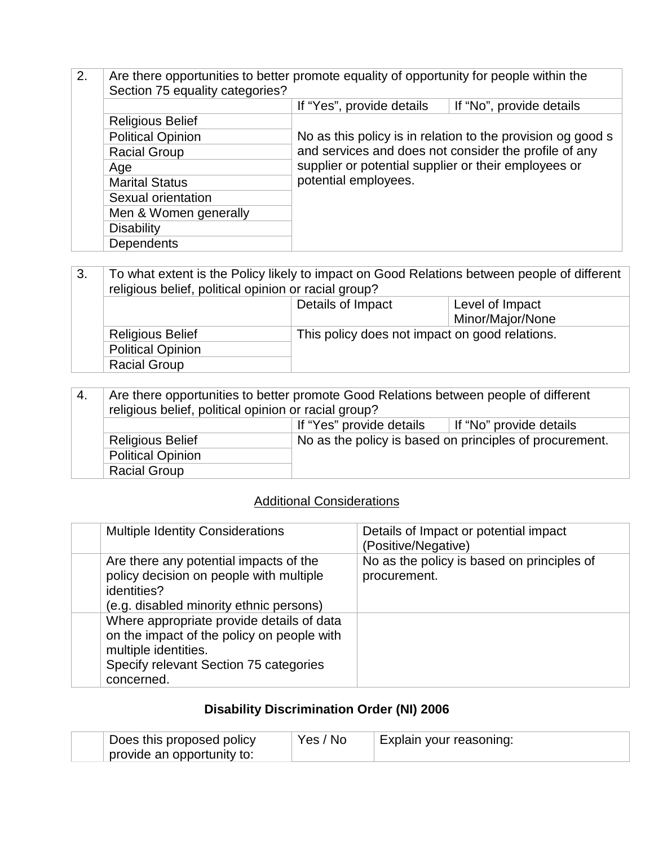- 2. Are there opportunities to better promote equality of opportunity for people within the Section 75 equality categories? If "Yes", provide details If "No", provide details Religious Belief No as this policy is in relation to the provision og good s and services and does not consider the profile of any supplier or potential supplier or their employees or potential employees. Political Opinion Racial Group Age Marital Status Sexual orientation Men & Women generally **Disability Dependents**
- 3. To what extent is the Policy likely to impact on Good Relations between people of different religious belief, political opinion or racial group? Details of Impact Level of Impact Minor/Major/None Religious Belief This policy does not impact on good relations. Political Opinion Racial Group

| -4. | Are there opportunities to better promote Good Relations between people of different<br>religious belief, political opinion or racial group? |                                                         |  |  |  |  |
|-----|----------------------------------------------------------------------------------------------------------------------------------------------|---------------------------------------------------------|--|--|--|--|
|     |                                                                                                                                              | If "Yes" provide details<br>If "No" provide details     |  |  |  |  |
|     | <b>Religious Belief</b>                                                                                                                      | No as the policy is based on principles of procurement. |  |  |  |  |
|     | <b>Political Opinion</b>                                                                                                                     |                                                         |  |  |  |  |
|     | <b>Racial Group</b>                                                                                                                          |                                                         |  |  |  |  |

#### Additional Considerations

| <b>Multiple Identity Considerations</b>                                                                                                                                 | Details of Impact or potential impact<br>(Positive/Negative) |
|-------------------------------------------------------------------------------------------------------------------------------------------------------------------------|--------------------------------------------------------------|
| Are there any potential impacts of the<br>policy decision on people with multiple<br>identities?<br>(e.g. disabled minority ethnic persons)                             | No as the policy is based on principles of<br>procurement.   |
| Where appropriate provide details of data<br>on the impact of the policy on people with<br>multiple identities.<br>Specify relevant Section 75 categories<br>concerned. |                                                              |

#### **Disability Discrimination Order (NI) 2006**

| Does this proposed policy  | Yes / No | Explain your reasoning: |
|----------------------------|----------|-------------------------|
| provide an opportunity to: |          |                         |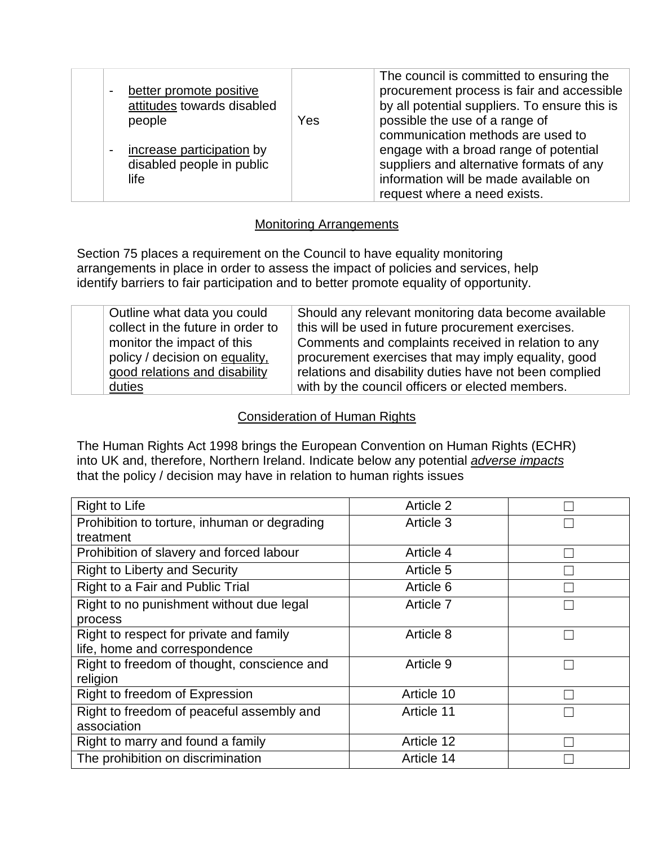| better promote positive<br>attitudes towards disabled<br>people | Yes | The council is committed to ensuring the<br>procurement process is fair and accessible<br>by all potential suppliers. To ensure this is<br>possible the use of a range of<br>communication methods are used to |
|-----------------------------------------------------------------|-----|----------------------------------------------------------------------------------------------------------------------------------------------------------------------------------------------------------------|
| increase participation by<br>disabled people in public<br>life  |     | engage with a broad range of potential<br>suppliers and alternative formats of any<br>information will be made available on                                                                                    |
|                                                                 |     | request where a need exists.                                                                                                                                                                                   |

#### Monitoring Arrangements

Section 75 places a requirement on the Council to have equality monitoring arrangements in place in order to assess the impact of policies and services, help identify barriers to fair participation and to better promote equality of opportunity.

| Outline what data you could       | Should any relevant monitoring data become available   |
|-----------------------------------|--------------------------------------------------------|
| collect in the future in order to | this will be used in future procurement exercises.     |
| monitor the impact of this        | Comments and complaints received in relation to any    |
| policy / decision on equality,    | procurement exercises that may imply equality, good    |
| good relations and disability     | relations and disability duties have not been complied |
| duties                            | with by the council officers or elected members.       |

#### Consideration of Human Rights

The Human Rights Act 1998 brings the European Convention on Human Rights (ECHR) into UK and, therefore, Northern Ireland. Indicate below any potential *adverse impacts* that the policy / decision may have in relation to human rights issues

| <b>Right to Life</b>                         | Article 2  |  |
|----------------------------------------------|------------|--|
| Prohibition to torture, inhuman or degrading | Article 3  |  |
| treatment                                    |            |  |
| Prohibition of slavery and forced labour     | Article 4  |  |
| <b>Right to Liberty and Security</b>         | Article 5  |  |
| Right to a Fair and Public Trial             | Article 6  |  |
| Right to no punishment without due legal     | Article 7  |  |
| process                                      |            |  |
| Right to respect for private and family      | Article 8  |  |
| life, home and correspondence                |            |  |
| Right to freedom of thought, conscience and  | Article 9  |  |
| religion                                     |            |  |
| Right to freedom of Expression               | Article 10 |  |
| Right to freedom of peaceful assembly and    | Article 11 |  |
| association                                  |            |  |
| Right to marry and found a family            | Article 12 |  |
| The prohibition on discrimination            | Article 14 |  |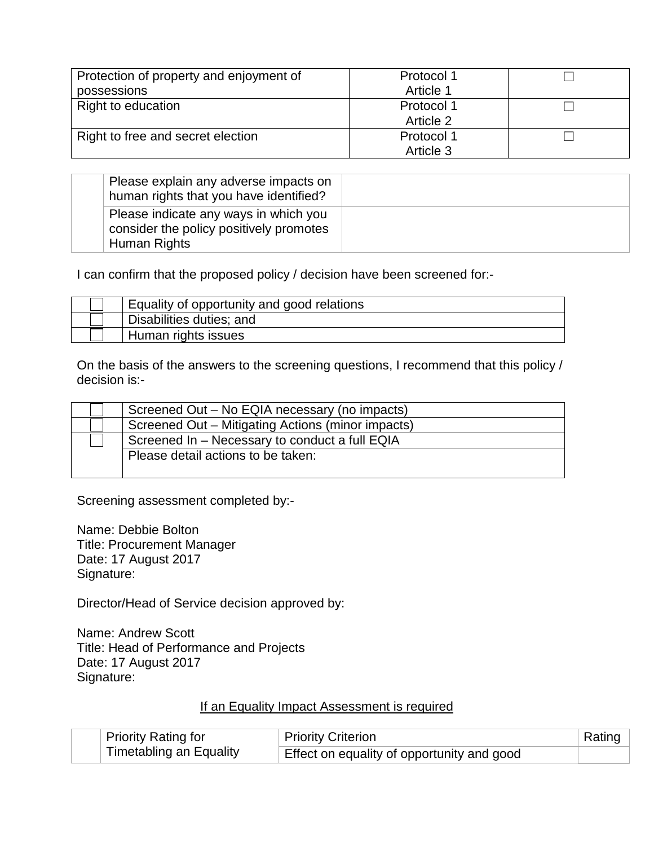| Protection of property and enjoyment of | Protocol 1 |  |
|-----------------------------------------|------------|--|
| possessions                             | Article 1  |  |
| Right to education                      | Protocol 1 |  |
|                                         | Article 2  |  |
| Right to free and secret election       | Protocol 1 |  |
|                                         | Article 3  |  |

| Please explain any adverse impacts on<br>human rights that you have identified?                  |  |
|--------------------------------------------------------------------------------------------------|--|
| Please indicate any ways in which you<br>consider the policy positively promotes<br>Human Rights |  |

I can confirm that the proposed policy / decision have been screened for:-

| Equality of opportunity and good relations |
|--------------------------------------------|
| Disabilities duties; and                   |
| Human rights issues                        |

On the basis of the answers to the screening questions, I recommend that this policy / decision is:-

| Screened Out – No EQIA necessary (no impacts)     |  |
|---------------------------------------------------|--|
| Screened Out - Mitigating Actions (minor impacts) |  |
| Screened In - Necessary to conduct a full EQIA    |  |
| Please detail actions to be taken:                |  |
|                                                   |  |

Screening assessment completed by:-

Name: Debbie Bolton Title: Procurement Manager Date: 17 August 2017 Signature:

Director/Head of Service decision approved by:

Name: Andrew Scott Title: Head of Performance and Projects Date: 17 August 2017 Signature:

### If an Equality Impact Assessment is required

|  | Priority Rating for             | Priority Criterion                         | Rating |
|--|---------------------------------|--------------------------------------------|--------|
|  | $\perp$ Timetabling an Equality | Effect on equality of opportunity and good |        |